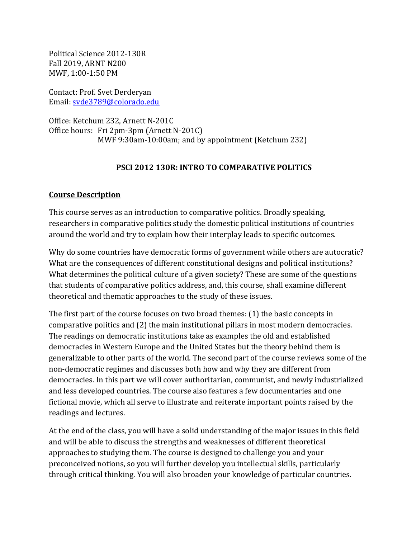Political Science 2012-130R Fall 2019, ARNT N200 MWF, 1:00-1:50 PM

Contact: Prof. Svet Derderyan Email: [svde3789@colorado.edu](mailto:svde3789@colorado.edu)

Office: Ketchum 232, Arnett N-201C Office hours: Fri 2pm-3pm (Arnett N-201C) MWF 9:30am-10:00am; and by appointment (Ketchum 232)

# **PSCI 2012 130R: INTRO TO COMPARATIVE POLITICS**

## **Course Description**

This course serves as an introduction to comparative politics. Broadly speaking, researchers in comparative politics study the domestic political institutions of countries around the world and try to explain how their interplay leads to specific outcomes.

Why do some countries have democratic forms of government while others are autocratic? What are the consequences of different constitutional designs and political institutions? What determines the political culture of a given society? These are some of the questions that students of comparative politics address, and, this course, shall examine different theoretical and thematic approaches to the study of these issues.

The first part of the course focuses on two broad themes: (1) the basic concepts in comparative politics and (2) the main institutional pillars in most modern democracies. The readings on democratic institutions take as examples the old and established democracies in Western Europe and the United States but the theory behind them is generalizable to other parts of the world. The second part of the course reviews some of the non-democratic regimes and discusses both how and why they are different from democracies. In this part we will cover authoritarian, communist, and newly industrialized and less developed countries. The course also features a few documentaries and one fictional movie, which all serve to illustrate and reiterate important points raised by the readings and lectures.

At the end of the class, you will have a solid understanding of the major issues in this field and will be able to discuss the strengths and weaknesses of different theoretical approaches to studying them. The course is designed to challenge you and your preconceived notions, so you will further develop you intellectual skills, particularly through critical thinking. You will also broaden your knowledge of particular countries.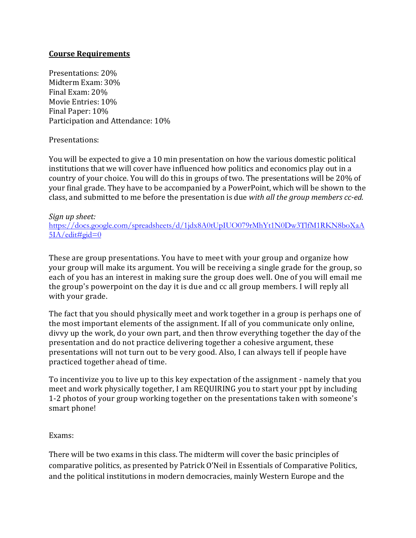## **Course Requirements**

Presentations: 20% Midterm Exam: 30% Final Exam: 20% Movie Entries: 10% Final Paper: 10% Participation and Attendance: 10%

Presentations:

You will be expected to give a 10 min presentation on how the various domestic political institutions that we will cover have influenced how politics and economics play out in a country of your choice. You will do this in groups of two. The presentations will be 20% of your final grade. They have to be accompanied by a PowerPoint, which will be shown to the class, and submitted to me before the presentation is due *with all the group members cc-ed.* 

#### *Sign up sheet:*

[https://docs.google.com/spreadsheets/d/1jdx8A0tUpIUO079rMhYt1N0Dw3TlfM1RKN8boXaA](https://docs.google.com/spreadsheets/d/1jdx8A0tUpIUO079rMhYt1N0Dw3TlfM1RKN8boXaA5IA/edit#gid=0)  $5IA$ /edit#gid=0

These are group presentations. You have to meet with your group and organize how your group will make its argument. You will be receiving a single grade for the group, so each of you has an interest in making sure the group does well. One of you will email me the group's powerpoint on the day it is due and cc all group members. I will reply all with your grade.

The fact that you should physically meet and work together in a group is perhaps one of the most important elements of the assignment. If all of you communicate only online, divvy up the work, do your own part, and then throw everything together the day of the presentation and do not practice delivering together a cohesive argument, these presentations will not turn out to be very good. Also, I can always tell if people have practiced together ahead of time.

To incentivize you to live up to this key expectation of the assignment - namely that you meet and work physically together, I am REQUIRING you to start your ppt by including 1-2 photos of your group working together on the presentations taken with someone's smart phone!

#### Exams:

There will be two exams in this class. The midterm will cover the basic principles of comparative politics, as presented by Patrick O'Neil in Essentials of Comparative Politics, and the political institutions in modern democracies, mainly Western Europe and the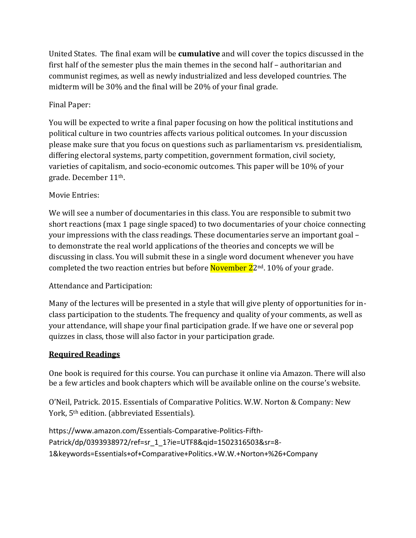United States. The final exam will be **cumulative** and will cover the topics discussed in the first half of the semester plus the main themes in the second half – authoritarian and communist regimes, as well as newly industrialized and less developed countries. The midterm will be 30% and the final will be 20% of your final grade.

# Final Paper:

You will be expected to write a final paper focusing on how the political institutions and political culture in two countries affects various political outcomes. In your discussion please make sure that you focus on questions such as parliamentarism vs. presidentialism, differing electoral systems, party competition, government formation, civil society, varieties of capitalism, and socio-economic outcomes. This paper will be 10% of your grade. December 11th.

# Movie Entries:

We will see a number of documentaries in this class. You are responsible to submit two short reactions (max 1 page single spaced) to two documentaries of your choice connecting your impressions with the class readings. These documentaries serve an important goal – to demonstrate the real world applications of the theories and concepts we will be discussing in class. You will submit these in a single word document whenever you have completed the two reaction entries but before **November 2**2<sup>nd</sup>. 10% of your grade.

# Attendance and Participation:

Many of the lectures will be presented in a style that will give plenty of opportunities for inclass participation to the students. The frequency and quality of your comments, as well as your attendance, will shape your final participation grade. If we have one or several pop quizzes in class, those will also factor in your participation grade.

# **Required Readings**

One book is required for this course. You can purchase it online via Amazon. There will also be a few articles and book chapters which will be available online on the course's website.

O'Neil, Patrick. 2015. Essentials of Comparative Politics. W.W. Norton & Company: New York, 5th edition. (abbreviated Essentials).

```
https://www.amazon.com/Essentials-Comparative-Politics-Fifth-
Patrick/dp/0393938972/ref=sr_1_1?ie=UTF8&qid=1502316503&sr=8-
1&keywords=Essentials+of+Comparative+Politics.+W.W.+Norton+%26+Company
```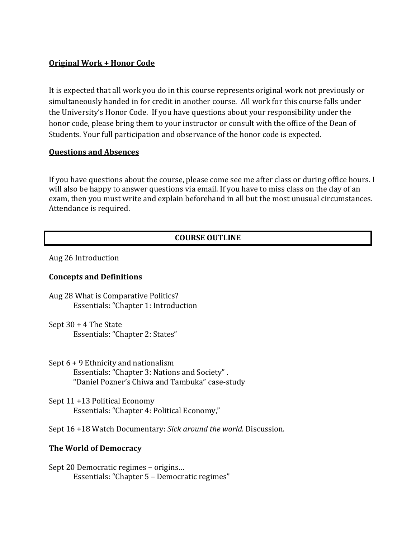# **Original Work + Honor Code**

It is expected that all work you do in this course represents original work not previously or simultaneously handed in for credit in another course. All work for this course falls under the University's Honor Code. If you have questions about your responsibility under the honor code, please bring them to your instructor or consult with the office of the Dean of Students. Your full participation and observance of the honor code is expected.

#### **Questions and Absences**

If you have questions about the course, please come see me after class or during office hours. I will also be happy to answer questions via email. If you have to miss class on the day of an exam, then you must write and explain beforehand in all but the most unusual circumstances. Attendance is required.

# **COURSE OUTLINE**

Aug 26 Introduction

## **Concepts and Definitions**

Aug 28 What is Comparative Politics? Essentials: "Chapter 1: Introduction

Sept 30 + 4 The State Essentials: "Chapter 2: States"

Sept 6 + 9 Ethnicity and nationalism Essentials: "Chapter 3: Nations and Society" . "Daniel Pozner's Chiwa and Tambuka" case-study

Sept 11 +13 Political Economy Essentials: "Chapter 4: Political Economy,"

Sept 16 +18 Watch Documentary: *Sick around the world.* Discussion.

## **The World of Democracy**

Sept 20 Democratic regimes – origins… Essentials: "Chapter 5 – Democratic regimes"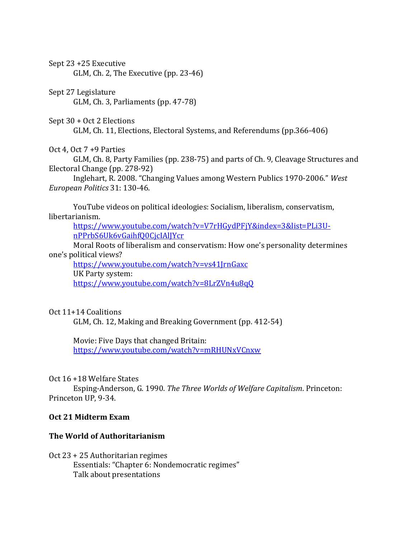Sept 23 +25 Executive GLM, Ch. 2, The Executive (pp. 23-46)

### Sept 27 Legislature

GLM, Ch. 3, Parliaments (pp. 47-78)

#### Sept 30 + Oct 2 Elections

GLM, Ch. 11, Elections, Electoral Systems, and Referendums (pp.366-406)

## Oct 4, Oct 7 +9 Parties

GLM, Ch. 8, Party Families (pp. 238-75) and parts of Ch. 9, Cleavage Structures and Electoral Change (pp. 278-92)

Inglehart, R. 2008. "Changing Values among Western Publics 1970-2006." *West European Politics* 31: 130-46.

YouTube videos on political ideologies: Socialism, liberalism, conservatism, libertarianism.

[https://www.youtube.com/watch?v=V7rHGydPFjY&index=3&list=PLi3U](https://www.youtube.com/watch?v=V7rHGydPFjY&index=3&list=PLi3U-nPPrbS6Uk6vGaihfQ0CjcIAlJYcr)[nPPrbS6Uk6vGaihfQ0CjcIAlJYcr](https://www.youtube.com/watch?v=V7rHGydPFjY&index=3&list=PLi3U-nPPrbS6Uk6vGaihfQ0CjcIAlJYcr)

Moral Roots of liberalism and conservatism: How one's personality determines one's political views?

<https://www.youtube.com/watch?v=vs41JrnGaxc>

UK Party system:

<https://www.youtube.com/watch?v=8LrZVn4u8qQ>

## Oct 11+14 Coalitions

GLM, Ch. 12, Making and Breaking Government (pp. 412-54)

Movie: Five Days that changed Britain:

<https://www.youtube.com/watch?v=mRHUNxVCnxw>

## Oct 16 +18 Welfare States

Esping-Anderson, G. 1990. *The Three Worlds of Welfare Capitalism*. Princeton: Princeton UP, 9-34.

## **Oct 21 Midterm Exam**

# **The World of Authoritarianism**

Oct 23 + 25 Authoritarian regimes Essentials: "Chapter 6: Nondemocratic regimes" Talk about presentations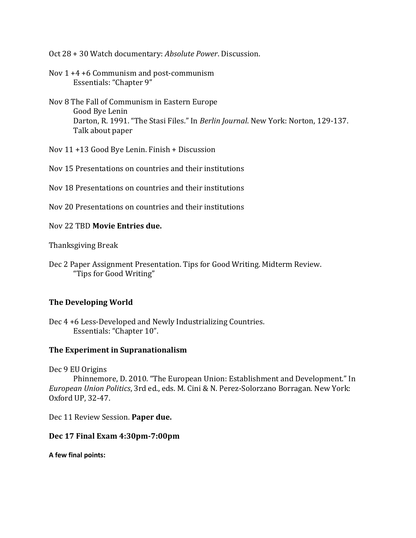Oct 28 + 30 Watch documentary: *Absolute Power*. Discussion.

Nov 1 +4 +6 Communism and post-communism Essentials: "Chapter 9"

Nov 8 The Fall of Communism in Eastern Europe Good Bye Lenin Darton, R. 1991. "The Stasi Files." In *Berlin Journal*. New York: Norton, 129-137. Talk about paper

Nov 11 +13 Good Bye Lenin. Finish + Discussion

Nov 15 Presentations on countries and their institutions

Nov 18 Presentations on countries and their institutions

Nov 20 Presentations on countries and their institutions

Nov 22 TBD **Movie Entries due.**

Thanksgiving Break

Dec 2 Paper Assignment Presentation. Tips for Good Writing. Midterm Review. "Tips for Good Writing"

## **The Developing World**

Dec 4 +6 Less-Developed and Newly Industrializing Countries. Essentials: "Chapter 10".

## **The Experiment in Supranationalism**

Dec 9 EU Origins

Phinnemore, D. 2010. "The European Union: Establishment and Development." In *European Union Politics*, 3rd ed., eds. M. Cini & N. Perez-Solorzano Borragan. New York: Oxford UP, 32-47.

Dec 11 Review Session. **Paper due.**

#### **Dec 17 Final Exam 4:30pm-7:00pm**

**A few final points:**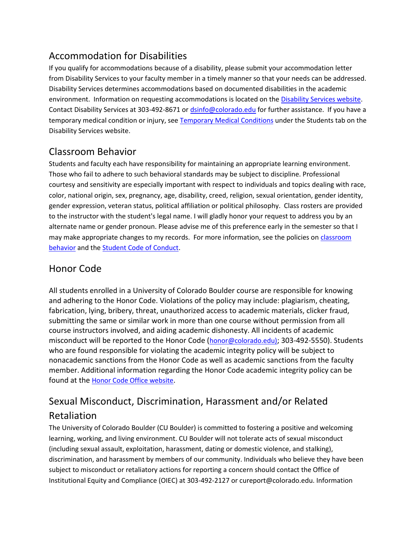# Accommodation for Disabilities

If you qualify for accommodations because of a disability, please submit your accommodation letter from Disability Services to your faculty member in a timely manner so that your needs can be addressed. Disability Services determines accommodations based on documented disabilities in the academic environment. Information on requesting accommodations is located on th[e Disability Services website.](http://www.colorado.edu/disabilityservices/students) Contact Disability Services at 303-492-8671 or [dsinfo@colorado.edu](mailto:dsinfo@colorado.edu) for further assistance. If you have a temporary medical condition or injury, see [Temporary Medical Conditions](http://www.colorado.edu/disabilityservices/students/temporary-medical-conditions) under the Students tab on the Disability Services website.

# Classroom Behavior

Students and faculty each have responsibility for maintaining an appropriate learning environment. Those who fail to adhere to such behavioral standards may be subject to discipline. Professional courtesy and sensitivity are especially important with respect to individuals and topics dealing with race, color, national origin, sex, pregnancy, age, disability, creed, religion, sexual orientation, gender identity, gender expression, veteran status, political affiliation or political philosophy. Class rosters are provided to the instructor with the student's legal name. I will gladly honor your request to address you by an alternate name or gender pronoun. Please advise me of this preference early in the semester so that I may make appropriate changes to my records. For more information, see the policies on [classroom](http://www.colorado.edu/policies/student-classroom-and-course-related-behavior)  [behavior](http://www.colorado.edu/policies/student-classroom-and-course-related-behavior) and the **Student Code of Conduct**.

# Honor Code

All students enrolled in a University of Colorado Boulder course are responsible for knowing and adhering to the Honor Code. Violations of the policy may include: plagiarism, cheating, fabrication, lying, bribery, threat, unauthorized access to academic materials, clicker fraud, submitting the same or similar work in more than one course without permission from all course instructors involved, and aiding academic dishonesty. All incidents of academic misconduct will be reported to the Honor Code ([honor@colorado.edu\)](mailto:honor@colorado.edu); 303-492-5550). Students who are found responsible for violating the academic integrity policy will be subject to nonacademic sanctions from the Honor Code as well as academic sanctions from the faculty member. Additional information regarding the Honor Code academic integrity policy can be found at the [Honor Code Office website](https://www.colorado.edu/osccr/honor-code).

# Sexual Misconduct, Discrimination, Harassment and/or Related Retaliation

The University of Colorado Boulder (CU Boulder) is committed to fostering a positive and welcoming learning, working, and living environment. CU Boulder will not tolerate acts of sexual misconduct (including sexual assault, exploitation, harassment, dating or domestic violence, and stalking), discrimination, and harassment by members of our community. Individuals who believe they have been subject to misconduct or retaliatory actions for reporting a concern should contact the Office of Institutional Equity and Compliance (OIEC) at 303-492-2127 or cureport@colorado.edu. Information